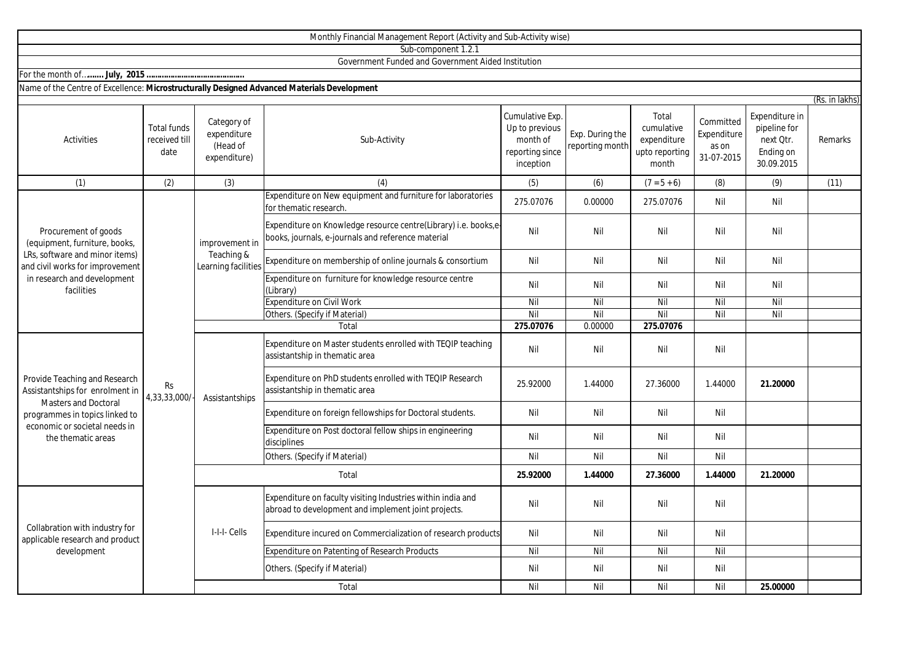|                                                                                                                                                                                          |                                             |                                                        | Monthly Financial Management Report (Activity and Sub-Activity wise)                                                 |                                                                               |                                    |                                                               |                                                 |                                                                        |                |
|------------------------------------------------------------------------------------------------------------------------------------------------------------------------------------------|---------------------------------------------|--------------------------------------------------------|----------------------------------------------------------------------------------------------------------------------|-------------------------------------------------------------------------------|------------------------------------|---------------------------------------------------------------|-------------------------------------------------|------------------------------------------------------------------------|----------------|
|                                                                                                                                                                                          |                                             |                                                        | Sub-component 1.2.1                                                                                                  |                                                                               |                                    |                                                               |                                                 |                                                                        |                |
|                                                                                                                                                                                          |                                             |                                                        | Government Funded and Government Aided Institution                                                                   |                                                                               |                                    |                                                               |                                                 |                                                                        |                |
|                                                                                                                                                                                          |                                             |                                                        |                                                                                                                      |                                                                               |                                    |                                                               |                                                 |                                                                        |                |
| Name of the Centre of Excellence: Microstructurally Designed Advanced Materials Development                                                                                              |                                             |                                                        |                                                                                                                      |                                                                               |                                    |                                                               |                                                 |                                                                        |                |
|                                                                                                                                                                                          |                                             |                                                        |                                                                                                                      |                                                                               |                                    |                                                               |                                                 |                                                                        | (Rs. in lakhs) |
| <b>Activities</b>                                                                                                                                                                        | <b>Total funds</b><br>received till<br>date | Category of<br>expenditure<br>(Head of<br>expenditure) | Sub-Activity                                                                                                         | Cumulative Exp.<br>Up to previous<br>month of<br>reporting since<br>inception | Exp. During the<br>reporting month | Total<br>cumulative<br>expenditure<br>upto reporting<br>month | Committed<br>Expenditure<br>as on<br>31-07-2015 | Expenditure in<br>pipeline for<br>next Qtr.<br>Ending on<br>30.09.2015 | Remarks        |
| (1)                                                                                                                                                                                      | (2)                                         | (3)                                                    | (4)                                                                                                                  | (5)                                                                           | (6)                                | $(7 = 5 + 6)$                                                 | (8)                                             | (9)                                                                    | (11)           |
| Procurement of goods<br>(equipment, furniture, books,<br>LRs, software and minor items)<br>and civil works for improvement<br>in research and development<br>facilities                  | Rs<br>4,33,33,000/                          | improvement in<br>Teaching &<br>Learning facilities    | Expenditure on New equipment and furniture for laboratories<br>for thematic research                                 | 275.07076                                                                     | 0.00000                            | 275.07076                                                     | Nil                                             | Nil                                                                    |                |
|                                                                                                                                                                                          |                                             |                                                        | Expenditure on Knowledge resource centre(Library) i.e. books,e<br>books, journals, e-journals and reference material | Nil                                                                           | Nil                                | Nil                                                           | Nil                                             | Nil                                                                    |                |
|                                                                                                                                                                                          |                                             |                                                        | Expenditure on membership of online journals & consortium                                                            | Nil                                                                           | Nil                                | Nil                                                           | Nil                                             | Nil                                                                    |                |
|                                                                                                                                                                                          |                                             |                                                        | Expenditure on furniture for knowledge resource centre<br>(Library)                                                  | Nil                                                                           | Nil                                | Nil                                                           | Nil                                             | Nil                                                                    |                |
|                                                                                                                                                                                          |                                             |                                                        | <b>Expenditure on Civil Work</b>                                                                                     | Nil                                                                           | Nil                                | Nil                                                           | Nil                                             | Nil                                                                    |                |
|                                                                                                                                                                                          |                                             |                                                        | Others. (Specify if Material)                                                                                        | Nil                                                                           | Nil                                | Nil                                                           | Nil                                             | Nil                                                                    |                |
|                                                                                                                                                                                          |                                             |                                                        | Total                                                                                                                | 275.07076                                                                     | 0.00000                            | 275.07076                                                     |                                                 |                                                                        |                |
| Provide Teaching and Research<br>Assistantships for enrolment in<br><b>Masters and Doctoral</b><br>programmes in topics linked to<br>economic or societal needs in<br>the thematic areas |                                             | Assistantships                                         | Expenditure on Master students enrolled with TEQIP teaching<br>assistantship in thematic area                        | Nil                                                                           | Nil                                | Nil                                                           | Nil                                             |                                                                        |                |
|                                                                                                                                                                                          |                                             |                                                        | Expenditure on PhD students enrolled with TEQIP Research<br>assistantship in thematic area                           | 25.92000                                                                      | 1.44000                            | 27.36000                                                      | 1.44000                                         | 21.20000                                                               |                |
|                                                                                                                                                                                          |                                             |                                                        | Expenditure on foreign fellowships for Doctoral students.                                                            | Nil                                                                           | Nil                                | Nil                                                           | Nil                                             |                                                                        |                |
|                                                                                                                                                                                          |                                             |                                                        | Expenditure on Post doctoral fellow ships in engineering<br>disciplines                                              | Nil                                                                           | Nil                                | Nil                                                           | Nil                                             |                                                                        |                |
|                                                                                                                                                                                          |                                             |                                                        | Others. (Specify if Material)                                                                                        | Nil                                                                           | Nil                                | Nil                                                           | Nil                                             |                                                                        |                |
|                                                                                                                                                                                          |                                             | Total                                                  |                                                                                                                      | 25.92000                                                                      | 1.44000                            | 27.36000                                                      | 1.44000                                         | 21.20000                                                               |                |
| Collabration with industry for<br>applicable research and product<br>development                                                                                                         |                                             | I-I-I- Cells                                           | Expenditure on faculty visiting Industries within india and<br>abroad to development and implement joint projects.   | Nil                                                                           | Nil                                | Nil                                                           | Nil                                             |                                                                        |                |
|                                                                                                                                                                                          |                                             |                                                        | Expenditure incured on Commercialization of research products                                                        | Nil                                                                           | Nil                                | Nil                                                           | Nil                                             |                                                                        |                |
|                                                                                                                                                                                          |                                             |                                                        | Expenditure on Patenting of Research Products                                                                        | Nil                                                                           | Nil                                | Nil                                                           | Nil                                             |                                                                        |                |
|                                                                                                                                                                                          |                                             |                                                        | Others. (Specify if Material)                                                                                        | Nil                                                                           | Nil                                | Nil                                                           | Nil                                             |                                                                        |                |
|                                                                                                                                                                                          |                                             |                                                        | Total                                                                                                                | Nil                                                                           | Nil                                | Nil                                                           | Nil                                             | 25.00000                                                               |                |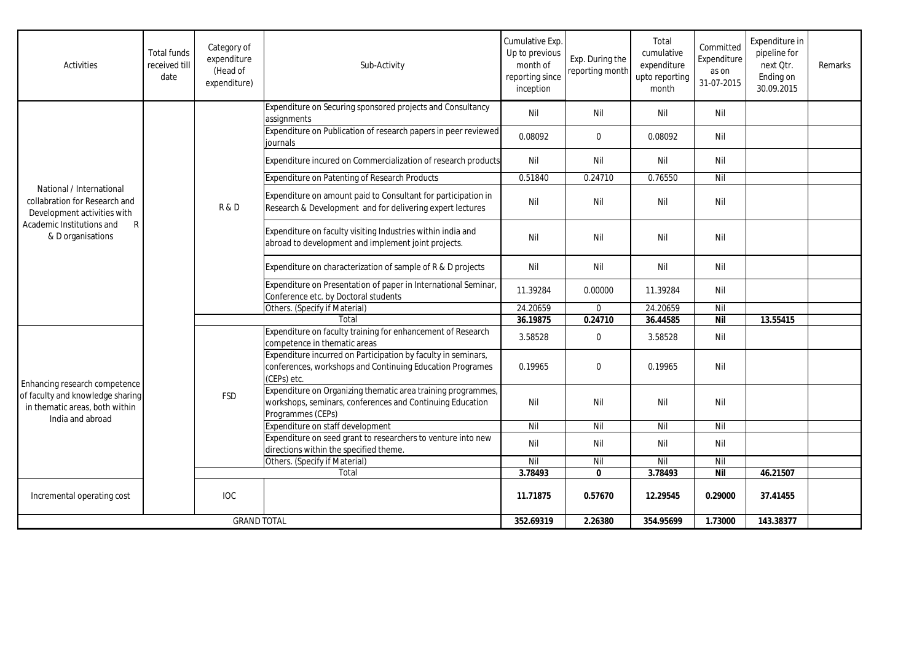| Activities                                                                                                                                                 | <b>Total funds</b><br>received till<br>date | Category of<br>expenditure<br>(Head of<br>expenditure) | Sub-Activity                                                                                                                                   | Cumulative Exp.<br>Up to previous<br>month of<br>reporting since<br>inception | Exp. During the<br>reporting month | Total<br>cumulative<br>expenditure<br>upto reporting<br>month | Committed<br>Expenditure<br>as on<br>31-07-2015 | Expenditure in<br>pipeline for<br>next Otr.<br>Ending on<br>30.09.2015 | Remarks |
|------------------------------------------------------------------------------------------------------------------------------------------------------------|---------------------------------------------|--------------------------------------------------------|------------------------------------------------------------------------------------------------------------------------------------------------|-------------------------------------------------------------------------------|------------------------------------|---------------------------------------------------------------|-------------------------------------------------|------------------------------------------------------------------------|---------|
| National / International<br>collabration for Research and<br>Development activities with<br>Academic Institutions and<br>$\mathsf{R}$<br>& D organisations |                                             | R & D                                                  | Expenditure on Securing sponsored projects and Consultancy<br>assignments                                                                      | Nil                                                                           | Nil                                | Nil                                                           | Nil                                             |                                                                        |         |
|                                                                                                                                                            |                                             |                                                        | Expenditure on Publication of research papers in peer reviewed<br>iournals                                                                     | 0.08092                                                                       | $\mathbf{0}$                       | 0.08092                                                       | Nil                                             |                                                                        |         |
|                                                                                                                                                            |                                             |                                                        | Expenditure incured on Commercialization of research products                                                                                  | Nil                                                                           | Nil                                | Nil                                                           | Nil                                             |                                                                        |         |
|                                                                                                                                                            |                                             |                                                        | Expenditure on Patenting of Research Products                                                                                                  | 0.51840                                                                       | 0.24710                            | 0.76550                                                       | Nil                                             |                                                                        |         |
|                                                                                                                                                            |                                             |                                                        | Expenditure on amount paid to Consultant for participation in<br>Research & Development and for delivering expert lectures                     | Nil                                                                           | Nil                                | Nil                                                           | Nil                                             |                                                                        |         |
|                                                                                                                                                            |                                             |                                                        | Expenditure on faculty visiting Industries within india and<br>abroad to development and implement joint projects.                             | Nil                                                                           | Nil                                | Nil                                                           | Nil                                             |                                                                        |         |
|                                                                                                                                                            |                                             |                                                        | Expenditure on characterization of sample of R & D projects                                                                                    | Nil                                                                           | Nil                                | Nil                                                           | Nil                                             |                                                                        |         |
|                                                                                                                                                            |                                             |                                                        | Expenditure on Presentation of paper in International Seminar,<br>Conference etc. by Doctoral students                                         | 11.39284                                                                      | 0.00000                            | 11.39284                                                      | Nil                                             |                                                                        |         |
|                                                                                                                                                            |                                             |                                                        | Others. (Specify if Material)                                                                                                                  | 24.20659                                                                      | $\mathbf 0$                        | 24.20659                                                      | Nil                                             |                                                                        |         |
|                                                                                                                                                            |                                             |                                                        | Total                                                                                                                                          | 36.19875                                                                      | 0.24710                            | 36.44585                                                      | <b>Nil</b>                                      | 13.55415                                                               |         |
| Enhancing research competence<br>of faculty and knowledge sharing<br>in thematic areas, both within<br>India and abroad                                    |                                             | <b>FSD</b>                                             | Expenditure on faculty training for enhancement of Research<br>competence in thematic areas                                                    | 3.58528                                                                       | $\mathbf 0$                        | 3.58528                                                       | Nil                                             |                                                                        |         |
|                                                                                                                                                            |                                             |                                                        | Expenditure incurred on Participation by faculty in seminars,<br>conferences, workshops and Continuing Education Programes<br>(CEPs) etc.      | 0.19965                                                                       | $\Omega$                           | 0.19965                                                       | Nil                                             |                                                                        |         |
|                                                                                                                                                            |                                             |                                                        | Expenditure on Organizing thematic area training programmes,<br>workshops, seminars, conferences and Continuing Education<br>Programmes (CEPs) | Nil                                                                           | Nil                                | Nil                                                           | Nil                                             |                                                                        |         |
|                                                                                                                                                            |                                             |                                                        | Expenditure on staff development                                                                                                               | Nil                                                                           | Nil                                | Nil                                                           | Nil                                             |                                                                        |         |
|                                                                                                                                                            |                                             |                                                        | Expenditure on seed grant to researchers to venture into new<br>directions within the specified theme.                                         | Nil                                                                           | Nil                                | Nil                                                           | Nil                                             |                                                                        |         |
|                                                                                                                                                            |                                             |                                                        | Others. (Specify if Material)                                                                                                                  | Nil                                                                           | Nil                                | Nil                                                           | Nil                                             |                                                                        |         |
|                                                                                                                                                            |                                             |                                                        | Total                                                                                                                                          | 3.78493                                                                       | $\mathbf{0}$                       | 3.78493                                                       | <b>Nil</b>                                      | 46.21507                                                               |         |
| Incremental operating cost                                                                                                                                 |                                             | <b>IOC</b>                                             |                                                                                                                                                | 11.71875                                                                      | 0.57670                            | 12.29545                                                      | 0.29000                                         | 37.41455                                                               |         |
| <b>GRAND TOTAL</b>                                                                                                                                         |                                             |                                                        | 352.69319                                                                                                                                      | 2.26380                                                                       | 354.95699                          | 1.73000                                                       | 143.38377                                       |                                                                        |         |